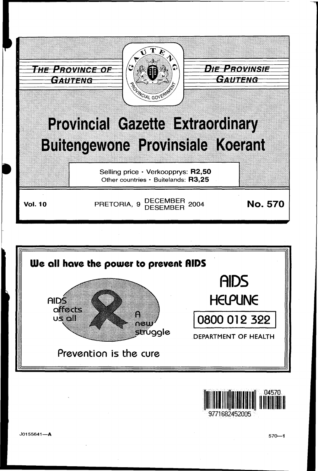



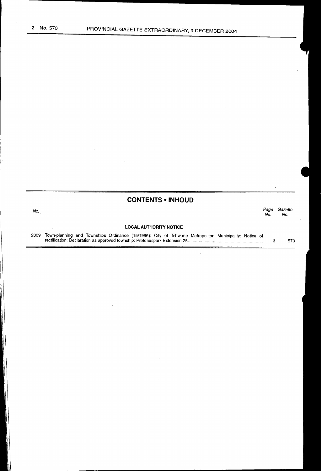# **CONTENTS • INHOUD**

No. Page Gazette No. No.

#### **LOCAL AUTHORITY NOTICE**

2869 Town-planning and Townships Ordinance (15/1986): City of Tshwane Metropolitan Municipality: Notice of rectification: Declaration as approved township: Pretoriuspark Extension 25 ............................................................. .. 3 570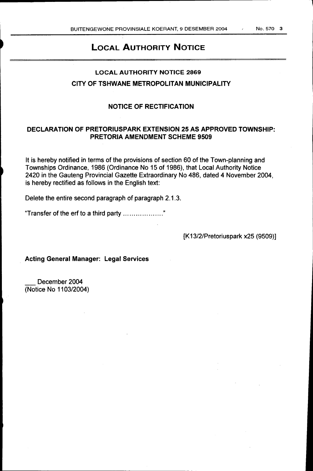l

# LOCAL AUTHORITY NOTICE

# LOCAL AUTHORITY NOTICE 2869 CITY OF TSHWANE METROPOLITAN MUNICIPALITY

### NOTICE OF RECTIFICATION

## DECLARATION OF PRETORIUSPARK EXTENSION 25 AS APPROVED TOWNSHIP: PRETORIA AMENDMENT SCHEME 9509

It is hereby notified in terms of the provisions of section 60 of the Town-planning and Townships Ordinance, 1986 (Ordinance No 15 of 1986), that Local Authority Notice 2420 in the Gauteng Provincial Gazette Extraordinary No 486, dated 4 November 2004, is hereby rectified as follows in the English text:

Delete the entire second paragraph of paragraph 2.1.3.

'Transfer of the erf to a third party ................... "

[K13/2/Pretoriuspark x25 (9509)]

Acting General Manager: Legal Services

December 2004 (Notice No 1103/2004)